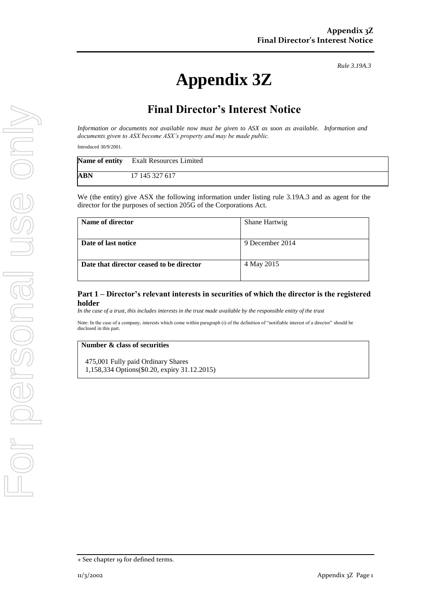*Rule 3.19A.3*

# **Appendix 3Z**

## **Final Director's Interest Notice**

*Information or documents not available now must be given to ASX as soon as available. Information and documents given to ASX become ASX's property and may be made public.*

Introduced 30/9/2001.

|     | Name of entity Exalt Resources Limited |
|-----|----------------------------------------|
| ABN | 17 145 327 617                         |

We (the entity) give ASX the following information under listing rule 3.19A.3 and as agent for the director for the purposes of section 205G of the Corporations Act.

| Name of director                         | Shane Hartwig   |
|------------------------------------------|-----------------|
| Date of last notice                      | 9 December 2014 |
| Date that director ceased to be director | 4 May 2015      |

#### **Part 1 – Director's relevant interests in securities of which the director is the registered holder**

*In the case of a trust, this includes interests in the trust made available by the responsible entity of the trust*

Note: In the case of a company, interests which come within paragraph (i) of the definition of "notifiable interest of a director" should be disclosed in this part.

#### **Number & class of securities**

475,001 Fully paid Ordinary Shares 1,158,334 Options(\$0.20, expiry 31.12.2015)

<sup>+</sup> See chapter 19 for defined terms.